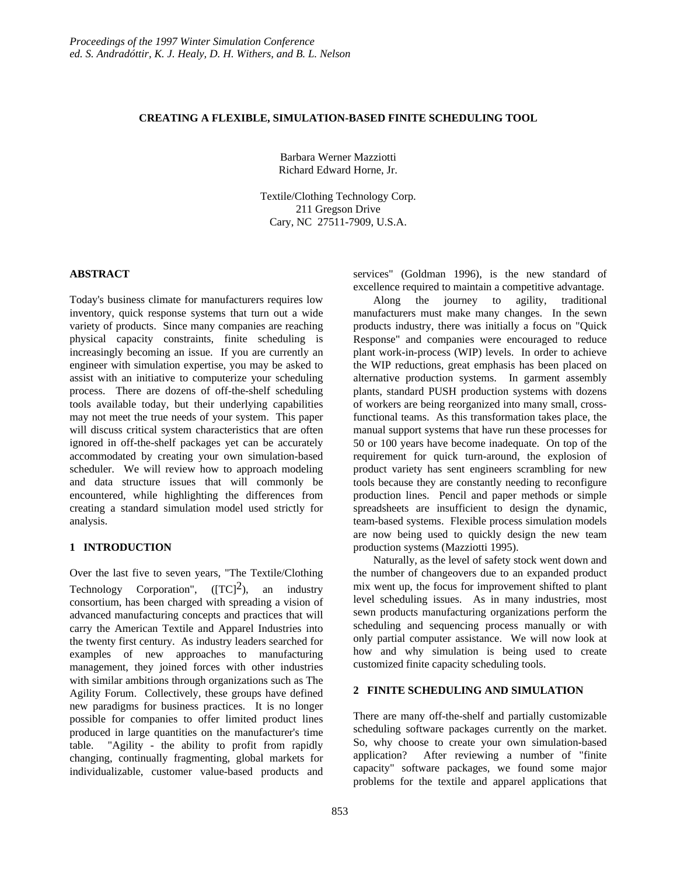### **CREATING A FLEXIBLE, SIMULATION-BASED FINITE SCHEDULING TOOL**

Barbara Werner Mazziotti Richard Edward Horne, Jr.

Textile/Clothing Technology Corp. 211 Gregson Drive Cary, NC 27511-7909, U.S.A.

### **ABSTRACT**

Today's business climate for manufacturers requires low inventory, quick response systems that turn out a wide variety of products. Since many companies are reaching physical capacity constraints, finite scheduling is increasingly becoming an issue. If you are currently an engineer with simulation expertise, you may be asked to assist with an initiative to computerize your scheduling process. There are dozens of off-the-shelf scheduling tools available today, but their underlying capabilities may not meet the true needs of your system. This paper will discuss critical system characteristics that are often ignored in off-the-shelf packages yet can be accurately accommodated by creating your own simulation-based scheduler. We will review how to approach modeling and data structure issues that will commonly be encountered, while highlighting the differences from creating a standard simulation model used strictly for analysis.

# **1 INTRODUCTION**

Over the last five to seven years, "The Textile/Clothing Technology Corporation",  $(\text{TC})^2$ ), an industry consortium, has been charged with spreading a vision of advanced manufacturing concepts and practices that will carry the American Textile and Apparel Industries into the twenty first century. As industry leaders searched for examples of new approaches to manufacturing management, they joined forces with other industries with similar ambitions through organizations such as The Agility Forum. Collectively, these groups have defined new paradigms for business practices. It is no longer possible for companies to offer limited product lines produced in large quantities on the manufacturer's time table. "Agility - the ability to profit from rapidly changing, continually fragmenting, global markets for individualizable, customer value-based products and services" (Goldman 1996), is the new standard of excellence required to maintain a competitive advantage.

Along the journey to agility, traditional manufacturers must make many changes. In the sewn products industry, there was initially a focus on "Quick Response" and companies were encouraged to reduce plant work-in-process (WIP) levels. In order to achieve the WIP reductions, great emphasis has been placed on alternative production systems. In garment assembly plants, standard PUSH production systems with dozens of workers are being reorganized into many small, crossfunctional teams. As this transformation takes place, the manual support systems that have run these processes for 50 or 100 years have become inadequate. On top of the requirement for quick turn-around, the explosion of product variety has sent engineers scrambling for new tools because they are constantly needing to reconfigure production lines. Pencil and paper methods or simple spreadsheets are insufficient to design the dynamic, team-based systems. Flexible process simulation models are now being used to quickly design the new team production systems (Mazziotti 1995).

Naturally, as the level of safety stock went down and the number of changeovers due to an expanded product mix went up, the focus for improvement shifted to plant level scheduling issues. As in many industries, most sewn products manufacturing organizations perform the scheduling and sequencing process manually or with only partial computer assistance. We will now look at how and why simulation is being used to create customized finite capacity scheduling tools.

## **2 FINITE SCHEDULING AND SIMULATION**

There are many off-the-shelf and partially customizable scheduling software packages currently on the market. So, why choose to create your own simulation-based application? After reviewing a number of "finite capacity" software packages, we found some major problems for the textile and apparel applications that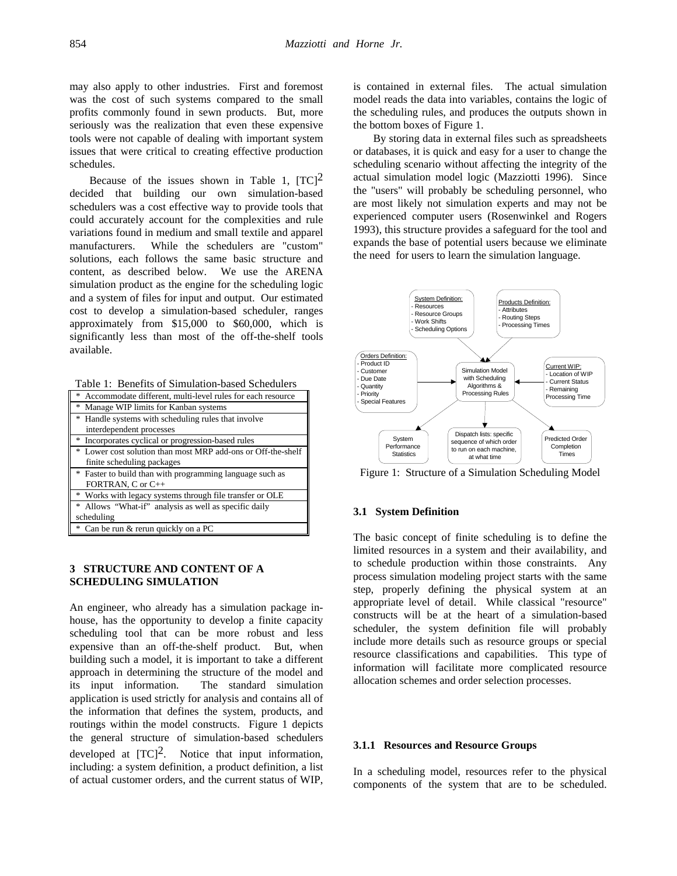may also apply to other industries. First and foremost was the cost of such systems compared to the small profits commonly found in sewn products. But, more seriously was the realization that even these expensive tools were not capable of dealing with important system issues that were critical to creating effective production schedules.

Because of the issues shown in Table 1,  $|TC|^2$ decided that building our own simulation-based schedulers was a cost effective way to provide tools that could accurately account for the complexities and rule variations found in medium and small textile and apparel manufacturers. While the schedulers are "custom" solutions, each follows the same basic structure and content, as described below. We use the ARENA simulation product as the engine for the scheduling logic and a system of files for input and output. Our estimated cost to develop a simulation-based scheduler, ranges approximately from \$15,000 to \$60,000, which is significantly less than most of the off-the-shelf tools available.

|  |  | Table 1: Benefits of Simulation-based Schedulers |  |
|--|--|--------------------------------------------------|--|
|--|--|--------------------------------------------------|--|

| * Accommodate different, multi-level rules for each resource |  |  |  |  |
|--------------------------------------------------------------|--|--|--|--|
| * Manage WIP limits for Kanban systems                       |  |  |  |  |
| * Handle systems with scheduling rules that involve          |  |  |  |  |
| interdependent processes                                     |  |  |  |  |
| * Incorporates cyclical or progression-based rules           |  |  |  |  |
| * Lower cost solution than most MRP add-ons or Off-the-shelf |  |  |  |  |
| finite scheduling packages                                   |  |  |  |  |
| * Faster to build than with programming language such as     |  |  |  |  |
| FORTRAN, C or C++                                            |  |  |  |  |
| * Works with legacy systems through file transfer or OLE     |  |  |  |  |
| * Allows "What-if" analysis as well as specific daily        |  |  |  |  |
| scheduling                                                   |  |  |  |  |
| * Can be run & rerun quickly on a PC                         |  |  |  |  |

### **3 STRUCTURE AND CONTENT OF A SCHEDULING SIMULATION**

An engineer, who already has a simulation package inhouse, has the opportunity to develop a finite capacity scheduling tool that can be more robust and less expensive than an off-the-shelf product. But, when building such a model, it is important to take a different approach in determining the structure of the model and its input information. The standard simulation application is used strictly for analysis and contains all of the information that defines the system, products, and routings within the model constructs. Figure 1 depicts the general structure of simulation-based schedulers developed at  $[TC]^2$ . Notice that input information, including: a system definition, a product definition, a list of actual customer orders, and the current status of WIP,

is contained in external files. The actual simulation model reads the data into variables, contains the logic of the scheduling rules, and produces the outputs shown in the bottom boxes of Figure 1.

By storing data in external files such as spreadsheets or databases, it is quick and easy for a user to change the scheduling scenario without affecting the integrity of the actual simulation model logic (Mazziotti 1996). Since the "users" will probably be scheduling personnel, who are most likely not simulation experts and may not be experienced computer users (Rosenwinkel and Rogers 1993), this structure provides a safeguard for the tool and expands the base of potential users because we eliminate the need for users to learn the simulation language.



Figure 1: Structure of a Simulation Scheduling Model

#### **3.1 System Definition**

The basic concept of finite scheduling is to define the limited resources in a system and their availability, and to schedule production within those constraints. Any process simulation modeling project starts with the same step, properly defining the physical system at an appropriate level of detail. While classical "resource" constructs will be at the heart of a simulation-based scheduler, the system definition file will probably include more details such as resource groups or special resource classifications and capabilities. This type of information will facilitate more complicated resource allocation schemes and order selection processes.

#### **3.1.1 Resources and Resource Groups**

In a scheduling model, resources refer to the physical components of the system that are to be scheduled.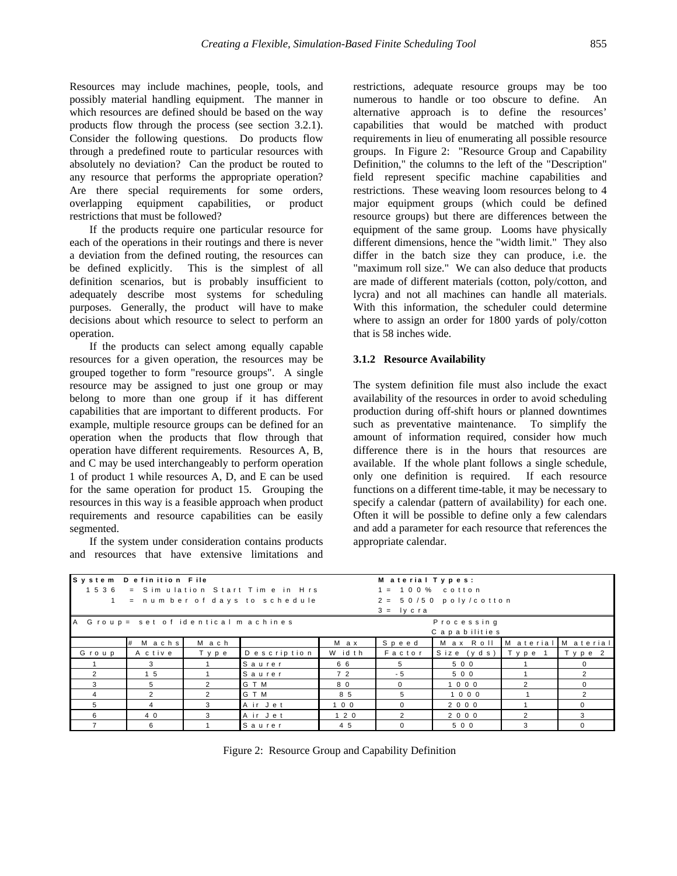Resources may include machines, people, tools, and possibly material handling equipment. The manner in which resources are defined should be based on the way products flow through the process (see section 3.2.1). Consider the following questions. Do products flow through a predefined route to particular resources with absolutely no deviation? Can the product be routed to any resource that performs the appropriate operation? Are there special requirements for some orders, overlapping equipment capabilities, or product restrictions that must be followed?

If the products require one particular resource for each of the operations in their routings and there is never a deviation from the defined routing, the resources can be defined explicitly. This is the simplest of all definition scenarios, but is probably insufficient to adequately describe most systems for scheduling purposes. Generally, the product will have to make decisions about which resource to select to perform an operation.

If the products can select among equally capable resources for a given operation, the resources may be grouped together to form "resource groups". A single resource may be assigned to just one group or may belong to more than one group if it has different capabilities that are important to different products. For example, multiple resource groups can be defined for an operation when the products that flow through that operation have different requirements. Resources A, B, and C may be used interchangeably to perform operation 1 of product 1 while resources A, D, and E can be used for the same operation for product 15. Grouping the resources in this way is a feasible approach when product requirements and resource capabilities can be easily segmented.

If the system under consideration contains products and resources that have extensive limitations and

restrictions, adequate resource groups may be too numerous to handle or too obscure to define. An alternative approach is to define the resources' capabilities that would be matched with product requirements in lieu of enumerating all possible resource groups. In Figure 2: "Resource Group and Capability Definition," the columns to the left of the "Description" field represent specific machine capabilities and restrictions. These weaving loom resources belong to 4 major equipment groups (which could be defined resource groups) but there are differences between the equipment of the same group. Looms have physically different dimensions, hence the "width limit." They also differ in the batch size they can produce, i.e. the "maximum roll size." We can also deduce that products are made of different materials (cotton, poly/cotton, and lycra) and not all machines can handle all materials. With this information, the scheduler could determine where to assign an order for 1800 yards of poly/cotton that is 58 inches wide.

#### **3.1.2 Resource Availability**

The system definition file must also include the exact availability of the resources in order to avoid scheduling production during off-shift hours or planned downtimes such as preventative maintenance. To simplify the amount of information required, consider how much difference there is in the hours that resources are available. If the whole plant follows a single schedule, only one definition is required. If each resource functions on a different time-table, it may be necessary to specify a calendar (pattern of availability) for each one. Often it will be possible to define only a few calendars and add a parameter for each resource that references the appropriate calendar.

|                                     | System Definition File              |               |               |                         | M aterial Types: |                               |               |                |
|-------------------------------------|-------------------------------------|---------------|---------------|-------------------------|------------------|-------------------------------|---------------|----------------|
| 1536 = Simulation Start Time in Hrs |                                     |               |               | $1 = 100\%$ cotton      |                  |                               |               |                |
| $1 =$ number of days to schedule    |                                     |               |               | $2 = 50/50$ poly/cotton |                  |                               |               |                |
|                                     |                                     |               | $3 = 1y c ra$ |                         |                  |                               |               |                |
|                                     | A Group = set of identical machines |               |               |                         |                  | Processing                    |               |                |
|                                     |                                     |               |               |                         |                  | C a p a b ilities             |               |                |
|                                     | # M achs                            | M a c h       |               | M a x                   | Speed            | M ax Roll M aterial M aterial |               |                |
| Group                               | A ctive                             | Туре          | Description   | W id th                 | Factor           | Size (yds) Type 1             |               | Type 2         |
|                                     | 3                                   | 1             | Saurer        | 66                      | 5                | 5 0 0                         |               | $\Omega$       |
| 2                                   | $1\overline{5}$                     |               | Saurer        | 7 2                     | $-5$             | 5 0 0                         |               | 2              |
| $\mathcal{R}$                       | $5^{\circ}$                         | $\mathcal{P}$ | G T M         | 80                      | $\Omega$         | 1000                          | $\mathcal{P}$ | $\Omega$       |
| 4                                   | $\overline{2}$                      | 2             | G T M         | 85                      | $5^{\circ}$      | 1000                          |               | 2              |
| 5                                   | $\overline{4}$                      | 3             | A ir Jet      | 1 0 0                   | $\Omega$         | 2000                          |               | $\Omega$       |
| 6                                   | 4 0                                 | 3             | A ir Jet      | $120$                   | $\mathcal{P}$    | 2000                          | 2             | 3              |
| $\overline{7}$                      | 6                                   |               | Saurer        | 4 5                     | $\Omega$         | 5 0 0                         | 3             | $\overline{0}$ |

Figure 2: Resource Group and Capability Definition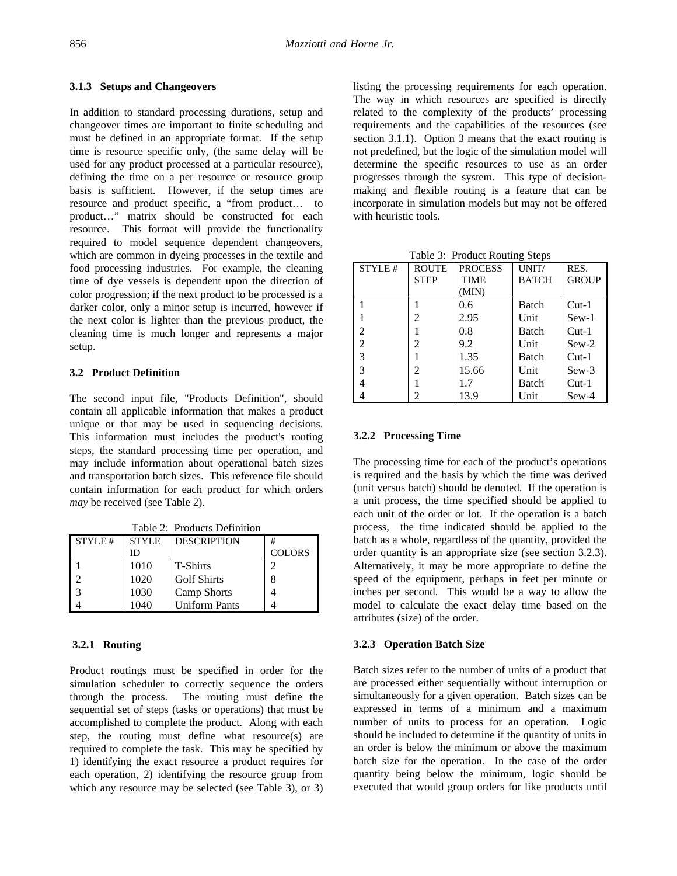#### **3.1.3 Setups and Changeovers**

In addition to standard processing durations, setup and changeover times are important to finite scheduling and must be defined in an appropriate format. If the setup time is resource specific only, (the same delay will be used for any product processed at a particular resource), defining the time on a per resource or resource group basis is sufficient. However, if the setup times are resource and product specific, a "from product… to product…" matrix should be constructed for each resource. This format will provide the functionality required to model sequence dependent changeovers, which are common in dyeing processes in the textile and food processing industries. For example, the cleaning time of dye vessels is dependent upon the direction of color progression; if the next product to be processed is a darker color, only a minor setup is incurred, however if the next color is lighter than the previous product, the cleaning time is much longer and represents a major setup.

# **3.2 Product Definition**

The second input file, "Products Definition", should contain all applicable information that makes a product unique or that may be used in sequencing decisions. This information must includes the product's routing steps, the standard processing time per operation, and may include information about operational batch sizes and transportation batch sizes. This reference file should contain information for each product for which orders *may* be received (see Table 2).

Table 2: Products Definition

| STYLE# | <b>STYLE</b> | <b>DESCRIPTION</b>   | #             |
|--------|--------------|----------------------|---------------|
|        | II)          |                      | <b>COLORS</b> |
|        | 1010         | <b>T-Shirts</b>      |               |
|        | 1020         | <b>Golf Shirts</b>   |               |
|        | 1030         | Camp Shorts          |               |
|        | 1040         | <b>Uniform Pants</b> |               |

## **3.2.1 Routing**

Product routings must be specified in order for the simulation scheduler to correctly sequence the orders through the process. The routing must define the sequential set of steps (tasks or operations) that must be accomplished to complete the product. Along with each step, the routing must define what resource(s) are required to complete the task. This may be specified by 1) identifying the exact resource a product requires for each operation, 2) identifying the resource group from which any resource may be selected (see Table 3), or 3)

listing the processing requirements for each operation. The way in which resources are specified is directly related to the complexity of the products' processing requirements and the capabilities of the resources (see section 3.1.1). Option 3 means that the exact routing is not predefined, but the logic of the simulation model will determine the specific resources to use as an order progresses through the system. This type of decisionmaking and flexible routing is a feature that can be incorporate in simulation models but may not be offered with heuristic tools.

Table 3: Product Routing Steps

| STYLE# | <b>ROUTE</b> | <b>PROCESS</b> | UNIT/        | RES.         |
|--------|--------------|----------------|--------------|--------------|
|        | <b>STEP</b>  | <b>TIME</b>    | <b>BATCH</b> | <b>GROUP</b> |
|        |              | (MIN)          |              |              |
|        |              | 0.6            | Batch        | $Cut-1$      |
|        | 2            | 2.95           | Unit         | $Sew-1$      |
| 2      |              | 0.8            | <b>Batch</b> | $Cut-1$      |
| 2      | 2            | 9.2            | Unit         | $Sew-2$      |
| 3      |              | 1.35           | Batch        | $Cut-1$      |
| 3      | 2            | 15.66          | Unit         | $Sew-3$      |
| 4      |              | 1.7            | <b>Batch</b> | $Cut-1$      |
|        |              | 13.9           | Unit         | $Sew-4$      |

### **3.2.2 Processing Time**

The processing time for each of the product's operations is required and the basis by which the time was derived (unit versus batch) should be denoted. If the operation is a unit process, the time specified should be applied to each unit of the order or lot. If the operation is a batch process, the time indicated should be applied to the batch as a whole, regardless of the quantity, provided the order quantity is an appropriate size (see section 3.2.3). Alternatively, it may be more appropriate to define the speed of the equipment, perhaps in feet per minute or inches per second. This would be a way to allow the model to calculate the exact delay time based on the attributes (size) of the order.

### **3.2.3 Operation Batch Size**

Batch sizes refer to the number of units of a product that are processed either sequentially without interruption or simultaneously for a given operation. Batch sizes can be expressed in terms of a minimum and a maximum number of units to process for an operation. Logic should be included to determine if the quantity of units in an order is below the minimum or above the maximum batch size for the operation. In the case of the order quantity being below the minimum, logic should be executed that would group orders for like products until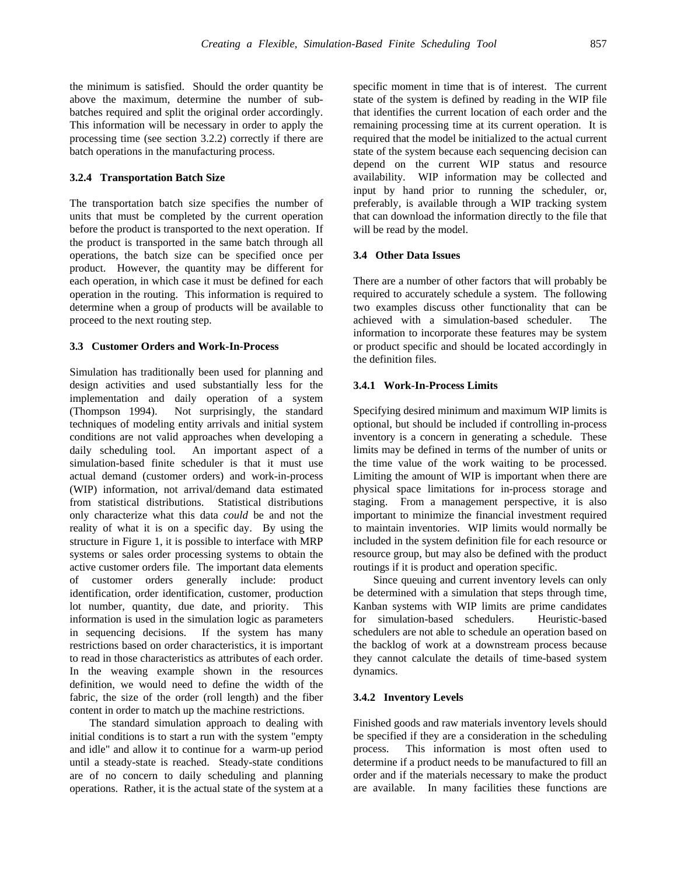the minimum is satisfied. Should the order quantity be above the maximum, determine the number of subbatches required and split the original order accordingly. This information will be necessary in order to apply the processing time (see section 3.2.2) correctly if there are batch operations in the manufacturing process.

### **3.2.4 Transportation Batch Size**

The transportation batch size specifies the number of units that must be completed by the current operation before the product is transported to the next operation. If the product is transported in the same batch through all operations, the batch size can be specified once per product. However, the quantity may be different for each operation, in which case it must be defined for each operation in the routing. This information is required to determine when a group of products will be available to proceed to the next routing step.

# **3.3 Customer Orders and Work-In-Process**

Simulation has traditionally been used for planning and design activities and used substantially less for the implementation and daily operation of a system (Thompson 1994). Not surprisingly, the standard techniques of modeling entity arrivals and initial system conditions are not valid approaches when developing a daily scheduling tool. An important aspect of a simulation-based finite scheduler is that it must use actual demand (customer orders) and work-in-process (WIP) information, not arrival/demand data estimated from statistical distributions. Statistical distributions only characterize what this data *could* be and not the reality of what it is on a specific day. By using the structure in Figure 1, it is possible to interface with MRP systems or sales order processing systems to obtain the active customer orders file. The important data elements of customer orders generally include: product identification, order identification, customer, production lot number, quantity, due date, and priority. This information is used in the simulation logic as parameters in sequencing decisions. If the system has many restrictions based on order characteristics, it is important to read in those characteristics as attributes of each order. In the weaving example shown in the resources definition, we would need to define the width of the fabric, the size of the order (roll length) and the fiber content in order to match up the machine restrictions.

The standard simulation approach to dealing with initial conditions is to start a run with the system "empty and idle" and allow it to continue for a warm-up period until a steady-state is reached. Steady-state conditions are of no concern to daily scheduling and planning operations. Rather, it is the actual state of the system at a

specific moment in time that is of interest. The current state of the system is defined by reading in the WIP file that identifies the current location of each order and the remaining processing time at its current operation. It is required that the model be initialized to the actual current state of the system because each sequencing decision can depend on the current WIP status and resource availability. WIP information may be collected and input by hand prior to running the scheduler, or, preferably, is available through a WIP tracking system that can download the information directly to the file that will be read by the model.

## **3.4 Other Data Issues**

There are a number of other factors that will probably be required to accurately schedule a system. The following two examples discuss other functionality that can be achieved with a simulation-based scheduler. The information to incorporate these features may be system or product specific and should be located accordingly in the definition files.

#### **3.4.1 Work-In-Process Limits**

Specifying desired minimum and maximum WIP limits is optional, but should be included if controlling in-process inventory is a concern in generating a schedule. These limits may be defined in terms of the number of units or the time value of the work waiting to be processed. Limiting the amount of WIP is important when there are physical space limitations for in-process storage and staging. From a management perspective, it is also important to minimize the financial investment required to maintain inventories. WIP limits would normally be included in the system definition file for each resource or resource group, but may also be defined with the product routings if it is product and operation specific.

Since queuing and current inventory levels can only be determined with a simulation that steps through time, Kanban systems with WIP limits are prime candidates for simulation-based schedulers. Heuristic-based schedulers are not able to schedule an operation based on the backlog of work at a downstream process because they cannot calculate the details of time-based system dynamics.

#### **3.4.2 Inventory Levels**

Finished goods and raw materials inventory levels should be specified if they are a consideration in the scheduling process. This information is most often used to determine if a product needs to be manufactured to fill an order and if the materials necessary to make the product are available. In many facilities these functions are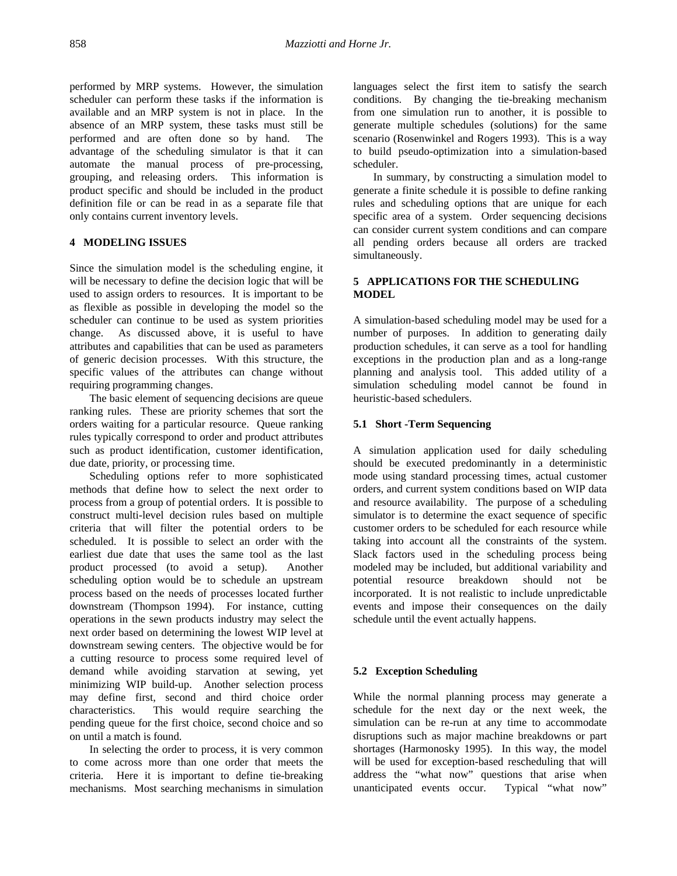performed by MRP systems. However, the simulation scheduler can perform these tasks if the information is available and an MRP system is not in place. In the absence of an MRP system, these tasks must still be performed and are often done so by hand. The advantage of the scheduling simulator is that it can automate the manual process of pre-processing, grouping, and releasing orders. This information is product specific and should be included in the product definition file or can be read in as a separate file that only contains current inventory levels.

## **4 MODELING ISSUES**

Since the simulation model is the scheduling engine, it will be necessary to define the decision logic that will be used to assign orders to resources. It is important to be as flexible as possible in developing the model so the scheduler can continue to be used as system priorities change. As discussed above, it is useful to have attributes and capabilities that can be used as parameters of generic decision processes. With this structure, the specific values of the attributes can change without requiring programming changes.

The basic element of sequencing decisions are queue ranking rules. These are priority schemes that sort the orders waiting for a particular resource. Queue ranking rules typically correspond to order and product attributes such as product identification, customer identification, due date, priority, or processing time.

Scheduling options refer to more sophisticated methods that define how to select the next order to process from a group of potential orders. It is possible to construct multi-level decision rules based on multiple criteria that will filter the potential orders to be scheduled. It is possible to select an order with the earliest due date that uses the same tool as the last product processed (to avoid a setup). Another scheduling option would be to schedule an upstream process based on the needs of processes located further downstream (Thompson 1994). For instance, cutting operations in the sewn products industry may select the next order based on determining the lowest WIP level at downstream sewing centers. The objective would be for a cutting resource to process some required level of demand while avoiding starvation at sewing, yet minimizing WIP build-up. Another selection process may define first, second and third choice order characteristics. This would require searching the pending queue for the first choice, second choice and so on until a match is found.

In selecting the order to process, it is very common to come across more than one order that meets the criteria. Here it is important to define tie-breaking mechanisms. Most searching mechanisms in simulation

languages select the first item to satisfy the search conditions. By changing the tie-breaking mechanism from one simulation run to another, it is possible to generate multiple schedules (solutions) for the same scenario (Rosenwinkel and Rogers 1993). This is a way to build pseudo-optimization into a simulation-based scheduler.

In summary, by constructing a simulation model to generate a finite schedule it is possible to define ranking rules and scheduling options that are unique for each specific area of a system. Order sequencing decisions can consider current system conditions and can compare all pending orders because all orders are tracked simultaneously.

## **5 APPLICATIONS FOR THE SCHEDULING MODEL**

A simulation-based scheduling model may be used for a number of purposes. In addition to generating daily production schedules, it can serve as a tool for handling exceptions in the production plan and as a long-range planning and analysis tool. This added utility of a simulation scheduling model cannot be found in heuristic-based schedulers.

#### **5.1 Short -Term Sequencing**

A simulation application used for daily scheduling should be executed predominantly in a deterministic mode using standard processing times, actual customer orders, and current system conditions based on WIP data and resource availability. The purpose of a scheduling simulator is to determine the exact sequence of specific customer orders to be scheduled for each resource while taking into account all the constraints of the system. Slack factors used in the scheduling process being modeled may be included, but additional variability and potential resource breakdown should not be incorporated. It is not realistic to include unpredictable events and impose their consequences on the daily schedule until the event actually happens.

#### **5.2 Exception Scheduling**

While the normal planning process may generate a schedule for the next day or the next week, the simulation can be re-run at any time to accommodate disruptions such as major machine breakdowns or part shortages (Harmonosky 1995). In this way, the model will be used for exception-based rescheduling that will address the "what now" questions that arise when unanticipated events occur. Typical "what now" unanticipated events occur.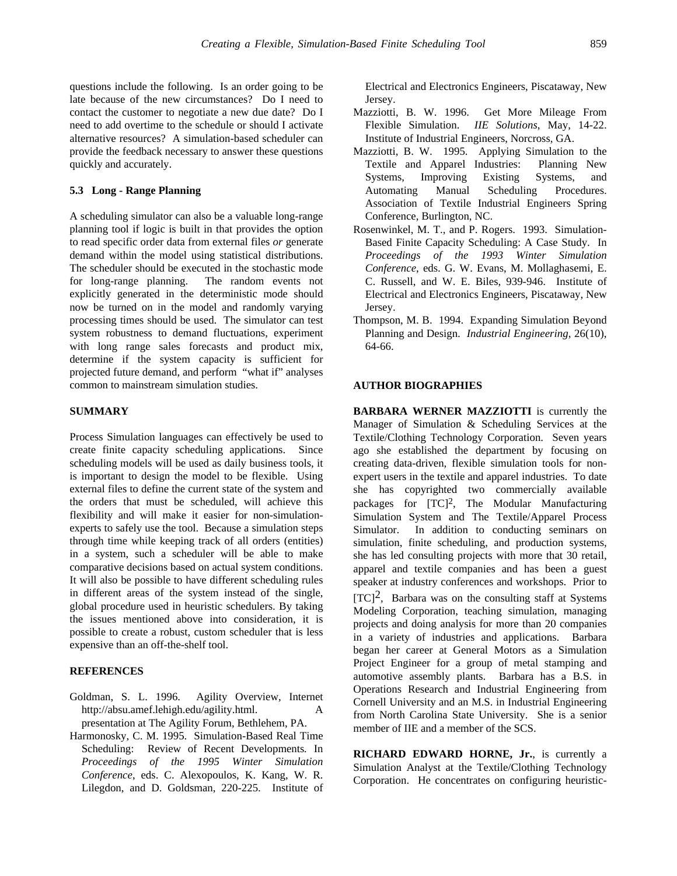questions include the following. Is an order going to be late because of the new circumstances? Do I need to contact the customer to negotiate a new due date? Do I need to add overtime to the schedule or should I activate alternative resources? A simulation-based scheduler can provide the feedback necessary to answer these questions quickly and accurately.

# **5.3 Long - Range Planning**

A scheduling simulator can also be a valuable long-range planning tool if logic is built in that provides the option to read specific order data from external files *or* generate demand within the model using statistical distributions. The scheduler should be executed in the stochastic mode for long-range planning. The random events not explicitly generated in the deterministic mode should now be turned on in the model and randomly varying processing times should be used. The simulator can test system robustness to demand fluctuations, experiment with long range sales forecasts and product mix, determine if the system capacity is sufficient for projected future demand, and perform "what if" analyses common to mainstream simulation studies.

#### **SUMMARY**

Process Simulation languages can effectively be used to create finite capacity scheduling applications. Since scheduling models will be used as daily business tools, it is important to design the model to be flexible. Using external files to define the current state of the system and the orders that must be scheduled, will achieve this flexibility and will make it easier for non-simulationexperts to safely use the tool. Because a simulation steps through time while keeping track of all orders (entities) in a system, such a scheduler will be able to make comparative decisions based on actual system conditions. It will also be possible to have different scheduling rules in different areas of the system instead of the single, global procedure used in heuristic schedulers. By taking the issues mentioned above into consideration, it is possible to create a robust, custom scheduler that is less expensive than an off-the-shelf tool.

## **REFERENCES**

- Goldman, S. L. 1996. Agility Overview, Internet http://absu.amef.lehigh.edu/agility.html. A presentation at The Agility Forum, Bethlehem, PA.
- Harmonosky, C. M. 1995. Simulation-Based Real Time Scheduling: Review of Recent Developments*.* In *Proceedings of the 1995 Winter Simulation Conference*, eds. C. Alexopoulos, K. Kang, W. R. Lilegdon, and D. Goldsman, 220-225. Institute of

Electrical and Electronics Engineers, Piscataway, New Jersey.

- Mazziotti, B. W. 1996. Get More Mileage From Flexible Simulation. *IIE Solutions*, May, 14-22. Institute of Industrial Engineers, Norcross, GA.
- Mazziotti, B. W. 1995. Applying Simulation to the Textile and Apparel Industries: Planning New Systems, Improving Existing Systems, and Automating Manual Scheduling Procedures. Association of Textile Industrial Engineers Spring Conference, Burlington, NC.
- Rosenwinkel, M. T., and P. Rogers. 1993. Simulation-Based Finite Capacity Scheduling: A Case Study. In *Proceedings of the 1993 Winter Simulation Conference*, eds. G. W. Evans, M. Mollaghasemi, E. C. Russell, and W. E. Biles, 939-946. Institute of Electrical and Electronics Engineers, Piscataway, New Jersey.
- Thompson, M. B. 1994. Expanding Simulation Beyond Planning and Design. *Industrial Engineering*, 26(10), 64-66.

#### **AUTHOR BIOGRAPHIES**

**BARBARA WERNER MAZZIOTTI** is currently the Manager of Simulation & Scheduling Services at the Textile/Clothing Technology Corporation. Seven years ago she established the department by focusing on creating data-driven, flexible simulation tools for nonexpert users in the textile and apparel industries. To date she has copyrighted two commercially available packages for  $[TC]^2$ , The Modular Manufacturing Simulation System and The Textile/Apparel Process Simulator. In addition to conducting seminars on simulation, finite scheduling, and production systems, she has led consulting projects with more that 30 retail, apparel and textile companies and has been a guest speaker at industry conferences and workshops. Prior to  $[TC]^2$ , Barbara was on the consulting staff at Systems Modeling Corporation, teaching simulation, managing projects and doing analysis for more than 20 companies in a variety of industries and applications. Barbara began her career at General Motors as a Simulation Project Engineer for a group of metal stamping and automotive assembly plants. Barbara has a B.S. in Operations Research and Industrial Engineering from Cornell University and an M.S. in Industrial Engineering from North Carolina State University. She is a senior member of IIE and a member of the SCS.

**RICHARD EDWARD HORNE, Jr.**, is currently a Simulation Analyst at the Textile/Clothing Technology Corporation. He concentrates on configuring heuristic